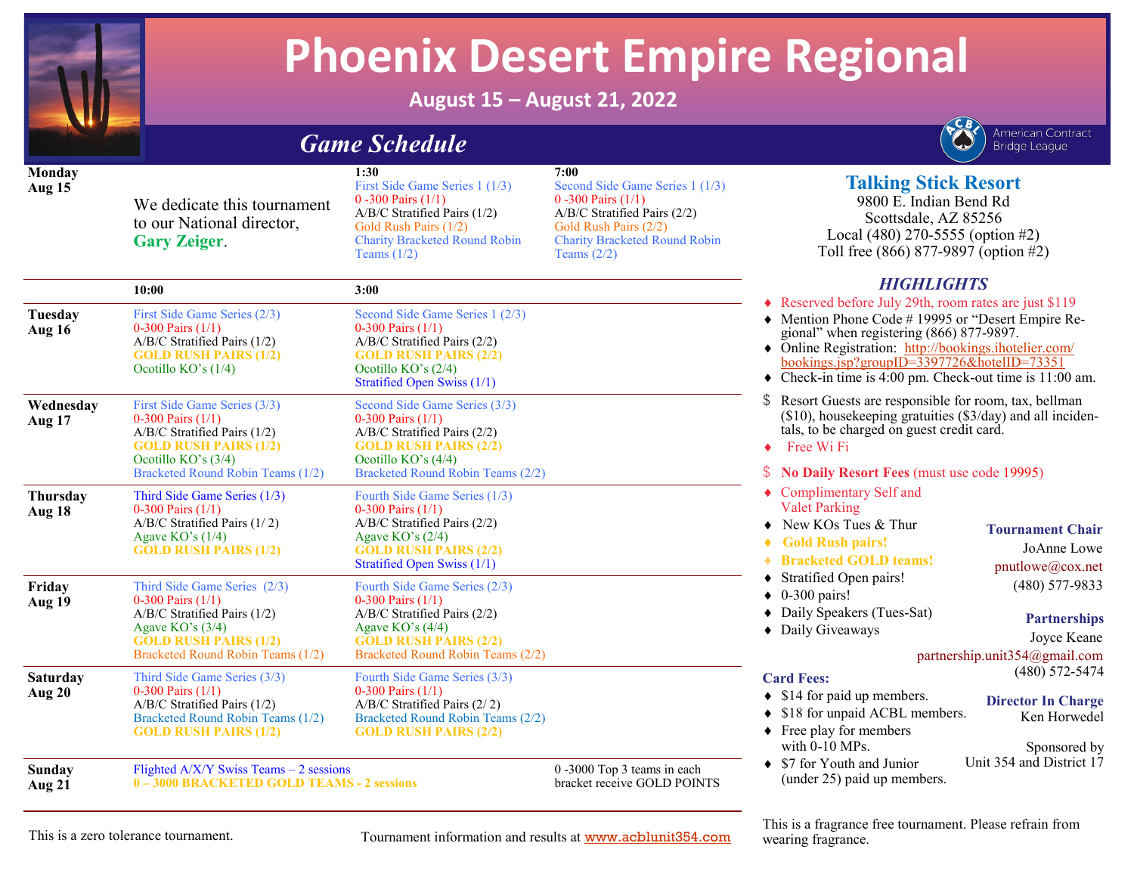

**Monday Aug 15**

# **Phoenix Desert Empire Regional**

Second Side Game Series 1 (1/3)

Charity Bracketed Round Robin

 $A/B/C$  Stratified Pairs (2/2) Gold Rush Pairs (2/2)

**August 15 – August 21, 2022**

**7:00**

 $0 -300$  Pairs  $(1/1)$ 

Teams  $(2/2)$ 

*Game Schedule* 

 $0 -300$  Pairs  $(1/1)$ 

Teams  $(1/2)$ 

First Side Game Series  $1(1/3)$ 

Charity Bracketed Round Robin

 $A/B/C$  Stratified Pairs (1/2) Gold Rush Pairs (1/2)

**1:30**

We dedicate this tournament to our National director.

**Gary Zeiger**.



# **Talking Stick Resort**

9800 E. Indian Bend Rd Scottsdale, AZ 85256 Local (480) 270-5555 (option #2) Toll free (866) 877-9897 (option #2)

### *HIGHLIGHTS*

**10:00 3:00 Tuesday Aug 16** First Side Game Series  $(2/3)$  $0-300$  Pairs  $(1/1)$  $A/B/C$  Stratified Pairs (1/2) **GOLD RUSH PAIRS (1/2)** Ocotillo KO's  $(1/4)$ Second Side Game Series  $1 (2/3)$  $0-300$  Pairs  $(1/1)$  $A/B/C$  Stratified Pairs (2/2) **GOLD RUSH PAIRS (2/2)** Ocotillo KO's (2/4) Stratified Open Swiss (1/1) **Wednesday Aug 17** First Side Game Series (3/3)  $0-300$  Pairs  $(1/1)$  $A/B/C$  Stratified Pairs (1/2) **GOLD RUSH PAIRS (1/2)** Ocotillo KO's  $(3/4)$ Bracketed Round Robin Teams (1/2) Second Side Game Series (3/3)  $0-300$  Pairs  $(1/1)$ A/B/C Stratified Pairs (2/2) **GOLD RUSH PAIRS (2/2)** Ocotillo KO's  $(4/4)$ Bracketed Round Robin Teams (2/2) **Thursday Aug 18** Third Side Game Series  $(1/3)$  $0-300$  Pairs  $(1/1)$ A/B/C Stratified Pairs  $(1/2)$ Agaye  $KO's (1/4)$ **GOLD RUSH PAIRS (1/2)** Fourth Side Game Series  $(1/3)$  $0-300$  Pairs  $(1/1)$  $A/B/C$  Stratified Pairs (2/2) Agave  $KO's (2/4)$ **GOLD RUSH PAIRS (2/2)** Stratified Open Swiss (1/1) **Friday Aug 19** Third Side Game Series  $(2/3)$  $0-300$  Pairs  $(1/1)$  $A/B/C$  Stratified Pairs (1/2) Agaye KO's  $(3/4)$ **GOLD RUSH PAIRS (1/2)** Bracketed Round Robin Teams (1/2) Fourth Side Game Series (2/3)  $0-300$  Pairs  $(1/1)$  $A/B/C$  Stratified Pairs (2/2) Agaye KO's  $(4/4)$ **GOLD RUSH PAIRS (2/2)** Bracketed Round Robin Teams (2/2) **Saturday Aug 20** Third Side Game Series  $(3/3)$ 0-300 Pairs  $(1/1)$  $A/B/C$  Stratified Pairs (1/2) Bracketed Round Robin Teams (1/2) **GOLD RUSH PAIRS (1/2)** Fourth Side Game Series (3/3)  $0-300$  Pairs  $(1/1)$  $A/B/C$  Stratified Pairs  $(2/2)$ Bracketed Round Robin Teams (2/2) **GOLD RUSH PAIRS (2/2) Sunday Aug 21** Flighted A/X/Y Swiss Teams  $-2$  sessions **0 – 3000 BRACKETED GOLD TEAMS - 2 sessions**   $0 -3000$  Top 3 teams in each bracket receive GOLD POINTS  $\triangle$  Reserved before July 29th, room rates are just \$119  $\triangle$  Mention Phone Code # 19995 or "Desert Empire Regional" when registering  $(866)$  877-9897. • Online Registration: http://bookings.ihotelier.com/  $bookings.jsp?groupID=3397726&hotellID=73351$  $\bullet$  Check-in time is 4:00 pm. Check-out time is 11:00 am.  $\frac{1}{2}$  Resort Guests are responsible for room, tax, bellman  $(\$10)$ , housekeeping gratuities  $(\$3/day)$  and all incidentals, to be charged on guest credit card.  $\leftarrow$  Free Wi Fi \$ **No Daily Resort Fees** (must use code 19995)  $\triangle$  Complimentary Self and **Valet Parking**  $\triangleleft$  New KOs Tues & Thur i **Gold Rush pairs! Bracketed GOLD teams!**  $\triangleleft$  Stratified Open pairs!  $\triangleleft$  0-300 pairs!  $\bullet$  Daily Speakers (Tues-Sat)  $\bullet$  Daily Giveaways **Card Fees:**  $\triangleleft$  \$14 for paid up members.  $\triangleleft$  \$18 for unpaid ACBL members.  $\triangle$  Free play for members with  $0-10$  MPs.  $\triangleleft$  \$7 for Youth and Junior (under  $25$ ) paid up members. **Tournament Chair** JoAnne Lowe pnutlowe@cox.net (480) 577-9833 **Partnerships** Joyce Keane partnership.unit $354@g$ mail.com (480) 572-5474 **Director In Charge** Ken Horwedel Sponsored by Unit 354 and District 17

This is a zero tolerance tournament. Tournament information and results at www.acblunit354.com

This is a fragrance free tournament. Please refrain from wearing fragrance.